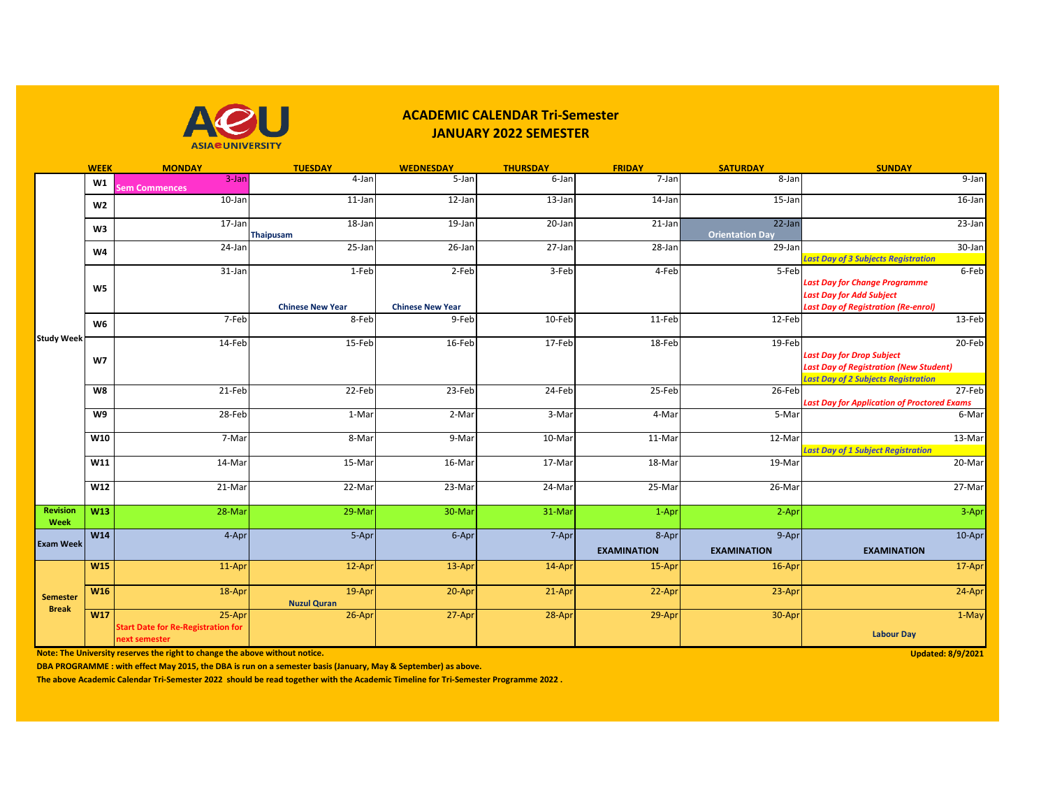

## **ACADEMIC CALENDAR Tri-Semester JANUARY 2022 SEMESTER**

|                                 | <b>WEEK</b>    | <b>MONDAY</b>                                                        | <b>TUESDAY</b>                   | <b>WEDNESDAY</b>                 | <b>THURSDAY</b> | <b>FRIDAY</b>               | <b>SATURDAY</b>                     | <b>SUNDAY</b>                                                                                                                             |
|---------------------------------|----------------|----------------------------------------------------------------------|----------------------------------|----------------------------------|-----------------|-----------------------------|-------------------------------------|-------------------------------------------------------------------------------------------------------------------------------------------|
| <b>Study Week</b>               | W1             | $3$ -Jan<br><b>Sem Commences</b>                                     | $4$ -Jan                         | 5-Jan                            | $6$ -Jan        | $7-Ian$                     | $8 - Jan$                           | 9-Jan                                                                                                                                     |
|                                 | W2             | 10-Jan                                                               | $11$ -Jan                        | 12-Jan                           | 13-Jan          | 14-Jan                      | 15-Jan                              | $16$ -Jan                                                                                                                                 |
|                                 | W3             | $17 - Jan$                                                           | $18$ -Jan<br>Thaipusam           | $19$ -Jan                        | $20$ -Jan       | $21$ -Jan                   | $22$ -Jan<br><b>Orientation Day</b> | 23-Jan                                                                                                                                    |
|                                 | W4             | 24-Jan                                                               | 25-Jan                           | 26-Jan                           | 27-Jan          | 28-Jan                      | 29-Jan                              | 30-Jan<br><b>Last Day of 3 Subjects Registration</b>                                                                                      |
|                                 | W <sub>5</sub> | $31$ -Jan                                                            | 1-Feb<br><b>Chinese New Year</b> | 2-Feb<br><b>Chinese New Year</b> | $3-Feb$         | 4-Feb                       | $5 - Feb$                           | 6-Feb<br><b>Last Day for Change Programme</b><br><b>Last Day for Add Subject</b><br><b>Last Day of Registration (Re-enrol)</b>            |
|                                 | W6             | 7-Feb                                                                | 8-Feb                            | 9-Feb                            | 10-Feb          | 11-Feb                      | 12-Feb                              | 13-Feb                                                                                                                                    |
|                                 | W7             | 14-Feb                                                               | 15-Feb                           | 16-Feb                           | 17-Feb          | 18-Feb                      | 19-Feb                              | 20-Feb<br><b>Last Day for Drop Subject</b><br><b>Last Day of Registration (New Student)</b><br><b>Last Day of 2 Subjects Registration</b> |
|                                 | W <sub>8</sub> | 21-Feb                                                               | 22-Feb                           | 23-Feb                           | 24-Feb          | 25-Feb                      | 26-Feb                              | 27-Feb<br><b>Last Day for Application of Proctored Exams</b>                                                                              |
|                                 | W9             | 28-Feb                                                               | 1-Mar                            | 2-Mar                            | 3-Mar           | 4-Mar                       | 5-Mar                               | 6-Mar                                                                                                                                     |
|                                 | W10            | 7-Mar                                                                | 8-Mar                            | 9-Mar                            | 10-Mar          | 11-Mar                      | 12-Mar                              | 13-Mar<br><b>Last Day of 1 Subject Registration</b>                                                                                       |
|                                 | W11            | 14-Mar                                                               | 15-Mar                           | 16-Mar                           | 17-Mar          | 18-Mar                      | 19-Mar                              | 20-Mar                                                                                                                                    |
|                                 | W12            | 21-Mar                                                               | 22-Mar                           | 23-Mar                           | 24-Mar          | 25-Mar                      | 26-Mar                              | 27-Mar                                                                                                                                    |
| <b>Revision</b><br>Week         | W13            | 28-Mar                                                               | 29-Mar                           | 30-Mar                           | 31-Mar          | 1-Apr                       | 2-Apr                               | 3-Apr                                                                                                                                     |
| <b>Exam Week</b>                | W14            | 4-Apr                                                                | 5-Apr                            | 6-Apr                            | 7-Apr           | 8-Apr<br><b>EXAMINATION</b> | 9-Apr<br><b>EXAMINATION</b>         | 10-Apr<br><b>EXAMINATION</b>                                                                                                              |
| <b>Semester</b><br><b>Break</b> | <b>W15</b>     | 11-Apr                                                               | 12-Apr                           | 13-Apr                           | 14-Apr          | 15-Apr                      | 16-Apr                              | 17-Apr                                                                                                                                    |
|                                 | W16            | 18-Apr                                                               | 19-Apr<br><b>Nuzul Quran</b>     | 20-Apr                           | 21-Apr          | 22-Apr                      | 23-Apr                              | 24-Apr                                                                                                                                    |
|                                 | W17            | 25-Apr<br><b>Start Date for Re-Registration for</b><br>next semester | 26-Apr                           | 27-Apr                           | 28-Apr          | 29-Apr                      | 30-Apr                              | 1-May<br><b>Labour Day</b>                                                                                                                |

**Note: The University reserves the right to change the above without notice.** 

**DBA PROGRAMME : with effect May 2015, the DBA is run on a semester basis (January, May & September) as above.**

**The above Academic Calendar Tri-Semester 2022 should be read together with the Academic Timeline for Tri-Semester Programme 2022 .** 

**Updated: 8/9/2021**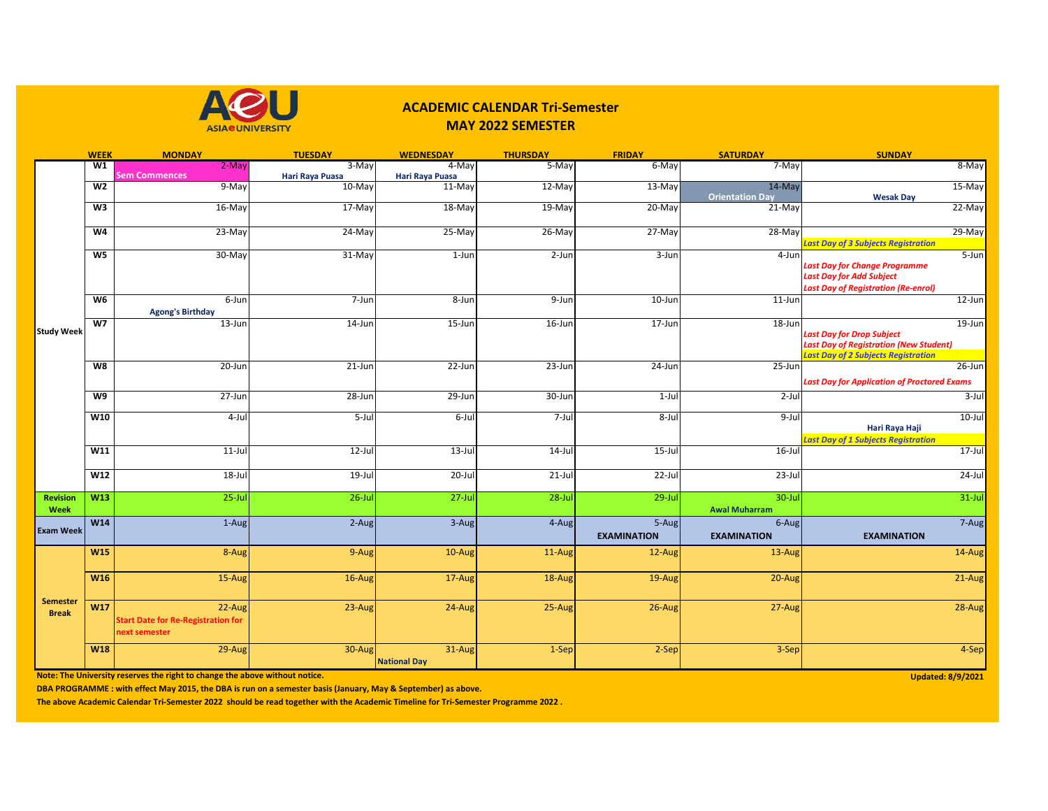

## **ACADEMIC CALENDAR Tri-Semester MAY 2022 SEMESTER**

|                                 | <b>WEEK</b>    | <b>MONDAY</b>                             | <b>TUESDAY</b>         | <b>WEDNESDAY</b>    | <b>THURSDAY</b> | <b>FRIDAY</b>      | <b>SATURDAY</b>                     | <b>SUNDAY</b>                                           |
|---------------------------------|----------------|-------------------------------------------|------------------------|---------------------|-----------------|--------------------|-------------------------------------|---------------------------------------------------------|
|                                 | W1             | $2-May$                                   | $3-May$                | 4-May               | $5-May$         | 6-May              | $7-May$                             | 8-May                                                   |
|                                 |                | <b>Sem Commences</b>                      | <b>Hari Raya Puasa</b> | Hari Raya Puasa     |                 |                    |                                     |                                                         |
|                                 | W <sub>2</sub> | 9-May                                     | $10-May$               | 11-May              | 12-May          | 13-May             | $14$ -May<br><b>Orientation Day</b> | 15-May<br><b>Wesak Day</b>                              |
|                                 | W <sub>3</sub> | 16-May                                    | $17-May$               | 18-May              | 19-May          | $20-May$           | $21-May$                            | 22-May                                                  |
|                                 |                |                                           |                        |                     |                 |                    |                                     |                                                         |
|                                 | W <sub>4</sub> | $23-May$                                  | $24-May$               | $25-May$            | $26$ -May       | $27-May$           | 28-May                              | 29-May                                                  |
|                                 |                |                                           |                        |                     |                 |                    |                                     | <b>Last Day of 3 Subjects Registration</b>              |
|                                 | W <sub>5</sub> | 30-May                                    | $31-May$               | $1-Jun$             | $2-Jun$         | $3 - Jun$          | $4 - Jun$                           | $5 - Jun$                                               |
|                                 |                |                                           |                        |                     |                 |                    |                                     | <b>Last Day for Change Programme</b>                    |
|                                 |                |                                           |                        |                     |                 |                    |                                     | <b>Last Day for Add Subject</b>                         |
|                                 | W6             | $6$ -Jun                                  | 7-Jun                  | 8-Jun               | $9 - Jun$       | $10$ -Jun          | $11$ -Jun                           | <b>Last Day of Registration (Re-enrol)</b><br>$12$ -Jun |
|                                 |                | <b>Agong's Birthday</b>                   |                        |                     |                 |                    |                                     |                                                         |
|                                 | W <sub>7</sub> | $13 - Jun$                                | $14$ -Jun              | $15 - Jun$          | $16$ -Jun       | $17 - Jun$         | $18 - Jun$                          | $19$ -Jun                                               |
| Study Week                      |                |                                           |                        |                     |                 |                    |                                     | <b>Last Day for Drop Subject</b>                        |
|                                 |                |                                           |                        |                     |                 |                    |                                     | <b>Last Day of Registration (New Student)</b>           |
|                                 |                |                                           |                        |                     |                 |                    |                                     | <b>Last Day of 2 Subjects Registration</b>              |
|                                 | W <sub>8</sub> | $20 - Jun$                                | $21$ -Jun              | $22$ -Jun           | $23 - Jun$      | $24$ -Jun          | $25 - Jun$                          | $26$ -Jun                                               |
|                                 |                |                                           |                        |                     |                 |                    |                                     | <b>Last Day for Application of Proctored Exams</b>      |
|                                 | W <sub>9</sub> | $27 - Jun$                                | 28-Jun                 | $29$ -Jun           | 30-Jun          | $1$ -Jul           | $2$ -Jul                            | $3-Jul$                                                 |
|                                 |                |                                           |                        |                     |                 |                    |                                     |                                                         |
|                                 | W10            | $4-Jul$                                   | $5 -$ Jul              | $6$ -Jul            | $7 -$ Jul       | $8 -$ Jul          | $9 -$ Jul                           | $10 -$ Jul                                              |
|                                 |                |                                           |                        |                     |                 |                    |                                     | Hari Raya Haji                                          |
|                                 |                |                                           |                        |                     |                 |                    |                                     | <b>Last Day of 1 Subjects Registration</b>              |
|                                 | W11            | $11$ -Jul                                 | $12$ -Jul              | $13$ -Jul           | $14$ -Jul       | $15 -$ Jul         | $16$ -Jul                           | $17 -$ Jul                                              |
|                                 |                |                                           |                        |                     |                 |                    |                                     |                                                         |
|                                 | W12            | 18-Jul                                    | $19$ -Jul              | $20 -$ Jul          | $21 -$ Jul      | 22-Jul             | $23$ -Jul                           | $24$ -Jul                                               |
| <b>Revision</b>                 | <b>W13</b>     | $25$ -Jul                                 | $26$ -Jul              | $27 -$ Jul          | 28-Jul          | $29$ -Jul          | $30 -$ Jul                          | $31$ -Jul                                               |
| Week                            |                |                                           |                        |                     |                 |                    | <b>Awal Muharram</b>                |                                                         |
|                                 | W14            | 1-Aug                                     | 2-Aug                  | 3-Aug               | 4-Aug           | 5-Aug              | 6-Aug                               | 7-Aug                                                   |
| <b>Exam Week</b>                |                |                                           |                        |                     |                 | <b>EXAMINATION</b> | <b>EXAMINATION</b>                  | <b>EXAMINATION</b>                                      |
|                                 |                |                                           |                        |                     |                 |                    |                                     |                                                         |
|                                 | <b>W15</b>     | 8-Aug                                     | 9-Aug                  | 10-Aug              | 11-Aug          | 12-Aug             | 13-Aug                              | 14-Aug                                                  |
| <b>Semester</b><br><b>Break</b> |                |                                           |                        |                     |                 |                    |                                     |                                                         |
|                                 | <b>W16</b>     | 15-Aug                                    | 16-Aug                 | 17-Aug              | 18-Aug          | 19-Aug             | 20-Aug                              | 21-Aug                                                  |
|                                 |                |                                           |                        |                     |                 |                    |                                     |                                                         |
|                                 | <b>W17</b>     | 22-Aug                                    | 23-Aug                 | 24-Aug              | 25-Aug          | 26-Aug             | 27-Aug                              | 28-Aug                                                  |
|                                 |                | <b>Start Date for Re-Registration for</b> |                        |                     |                 |                    |                                     |                                                         |
|                                 |                | next semester                             |                        |                     |                 |                    |                                     |                                                         |
|                                 |                |                                           |                        |                     |                 |                    |                                     |                                                         |
|                                 | <b>W18</b>     | 29-Aug                                    | 30-Aug                 | 31-Aug              | 1-Sep           | 2-Sep              | 3-Sep                               | 4-Sep                                                   |
|                                 |                |                                           |                        | <b>National Day</b> |                 |                    |                                     |                                                         |

**Note: The University reserves the right to change the above without notice.** 

**DBA PROGRAMME : with effect May 2015, the DBA is run on a semester basis (January, May & September) as above.**

**The above Academic Calendar Tri-Semester 2022 should be read together with the Academic Timeline for Tri-Semester Programme 2022 .** 

**Updated: 8/9/2021**